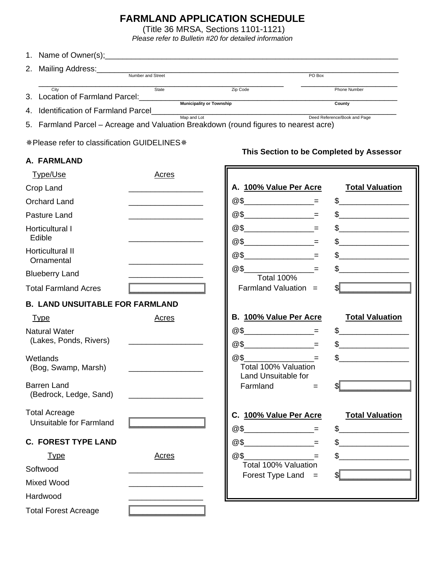# **FARMLAND APPLICATION SCHEDULE**

(Title 36 MRSA, Sections 1101-1121)

*Please refer to Bulletin #20 for detailed information* 

|    | 1. Name of Owner(s);                                                                 |                                 |          |                              |
|----|--------------------------------------------------------------------------------------|---------------------------------|----------|------------------------------|
| 2. | Mailing Address:                                                                     |                                 |          |                              |
|    | Number and Street                                                                    |                                 |          | PO Box                       |
|    | City                                                                                 | State                           | Zip Code | Phone Number                 |
| 3. | Location of Farmland Parcel:                                                         |                                 |          |                              |
|    |                                                                                      | <b>Municipality or Township</b> |          | County                       |
|    | 4. Identification of Farmland Parcel                                                 |                                 |          |                              |
|    |                                                                                      | Map and Lot                     |          | Deed Reference/Book and Page |
|    | 5. Farmland Parcel – Acreage and Valuation Breakdown (round figures to nearest acre) |                                 |          |                              |

\* Please refer to classification GUIDELINES \*

## **A. FARMLAND**

# **This Section to be Completed by Assessor**

| <b>Type/Use</b>                                        | <b>Acres</b>                                                  |                                                                            |                                                                                                                                                                                                                                                                                                                                                                                                                                                                                                                                                                                                                                                                                                            |
|--------------------------------------------------------|---------------------------------------------------------------|----------------------------------------------------------------------------|------------------------------------------------------------------------------------------------------------------------------------------------------------------------------------------------------------------------------------------------------------------------------------------------------------------------------------------------------------------------------------------------------------------------------------------------------------------------------------------------------------------------------------------------------------------------------------------------------------------------------------------------------------------------------------------------------------|
| Crop Land                                              |                                                               | A. 100% Value Per Acre                                                     | <b>Total Valuation</b>                                                                                                                                                                                                                                                                                                                                                                                                                                                                                                                                                                                                                                                                                     |
| <b>Orchard Land</b>                                    | <u> 1980 - Johann Barn, mars an t-Amerikaansk politiker (</u> |                                                                            | $\begin{picture}(20,10) \put(0,0){\line(1,0){10}} \put(15,0){\line(1,0){10}} \put(15,0){\line(1,0){10}} \put(15,0){\line(1,0){10}} \put(15,0){\line(1,0){10}} \put(15,0){\line(1,0){10}} \put(15,0){\line(1,0){10}} \put(15,0){\line(1,0){10}} \put(15,0){\line(1,0){10}} \put(15,0){\line(1,0){10}} \put(15,0){\line(1,0){10}} \put(15,0){\line(1$                                                                                                                                                                                                                                                                                                                                                        |
| Pasture Land                                           |                                                               | $@5$ = $=$                                                                 | $\frac{1}{2}$                                                                                                                                                                                                                                                                                                                                                                                                                                                                                                                                                                                                                                                                                              |
| <b>Horticultural I</b><br>Edible                       |                                                               | $@S$ =<br>$@S$ _____________________=                                      | $\begin{picture}(20,10) \put(0,0){\line(1,0){10}} \put(15,0){\line(1,0){10}} \put(15,0){\line(1,0){10}} \put(15,0){\line(1,0){10}} \put(15,0){\line(1,0){10}} \put(15,0){\line(1,0){10}} \put(15,0){\line(1,0){10}} \put(15,0){\line(1,0){10}} \put(15,0){\line(1,0){10}} \put(15,0){\line(1,0){10}} \put(15,0){\line(1,0){10}} \put(15,0){\line(1$<br>$\begin{picture}(20,10) \put(0,0){\line(1,0){10}} \put(15,0){\line(1,0){10}} \put(15,0){\line(1,0){10}} \put(15,0){\line(1,0){10}} \put(15,0){\line(1,0){10}} \put(15,0){\line(1,0){10}} \put(15,0){\line(1,0){10}} \put(15,0){\line(1,0){10}} \put(15,0){\line(1,0){10}} \put(15,0){\line(1,0){10}} \put(15,0){\line(1,0){10}} \put(15,0){\line(1$ |
| Horticultural II<br>Ornamental                         |                                                               | $@5$ = =                                                                   | $\frac{1}{2}$                                                                                                                                                                                                                                                                                                                                                                                                                                                                                                                                                                                                                                                                                              |
| <b>Blueberry Land</b>                                  |                                                               | @\$<br>and the state of the state of<br><b>Total 100%</b>                  |                                                                                                                                                                                                                                                                                                                                                                                                                                                                                                                                                                                                                                                                                                            |
| <b>Total Farmland Acres</b>                            |                                                               | Farmland Valuation $=$                                                     |                                                                                                                                                                                                                                                                                                                                                                                                                                                                                                                                                                                                                                                                                                            |
| <b>B. LAND UNSUITABLE FOR FARMLAND</b>                 |                                                               |                                                                            |                                                                                                                                                                                                                                                                                                                                                                                                                                                                                                                                                                                                                                                                                                            |
| <b>Type</b>                                            | <b>Acres</b>                                                  | B. 100% Value Per Acre                                                     | <b>Total Valuation</b>                                                                                                                                                                                                                                                                                                                                                                                                                                                                                                                                                                                                                                                                                     |
| <b>Natural Water</b><br>(Lakes, Ponds, Rivers)         |                                                               | $@S$ =<br>$@S$ = =                                                         | $\frac{1}{2}$<br>$\begin{picture}(20,10) \put(0,0){\vector(1,0){100}} \put(15,0){\vector(1,0){100}} \put(15,0){\vector(1,0){100}} \put(15,0){\vector(1,0){100}} \put(15,0){\vector(1,0){100}} \put(15,0){\vector(1,0){100}} \put(15,0){\vector(1,0){100}} \put(15,0){\vector(1,0){100}} \put(15,0){\vector(1,0){100}} \put(15,0){\vector(1,0){100}} \put(15,0){\vector(1,0){100}} \$                                                                                                                                                                                                                                                                                                                       |
| Wetlands<br>(Bog, Swamp, Marsh)                        | <u> 1980 - John Stone, Amerikaansk politiker (</u>            | and the state of the<br>@\$<br>Total 100% Valuation<br>Land Unsuitable for | $\frac{1}{2}$                                                                                                                                                                                                                                                                                                                                                                                                                                                                                                                                                                                                                                                                                              |
| <b>Barren Land</b><br>(Bedrock, Ledge, Sand)           |                                                               | Farmland<br>$=$                                                            |                                                                                                                                                                                                                                                                                                                                                                                                                                                                                                                                                                                                                                                                                                            |
| <b>Total Acreage</b><br><b>Unsuitable for Farmland</b> |                                                               | C. 100% Value Per Acre                                                     | <b>Total Valuation</b><br>$\sim$                                                                                                                                                                                                                                                                                                                                                                                                                                                                                                                                                                                                                                                                           |
| <b>C. FOREST TYPE LAND</b>                             |                                                               | $@5$ = =                                                                   | $\frac{1}{2}$                                                                                                                                                                                                                                                                                                                                                                                                                                                                                                                                                                                                                                                                                              |
| <b>Type</b>                                            | <b>Acres</b>                                                  | and the state of the state of<br>@\$                                       | $\frac{1}{\sqrt{1-\frac{1}{2}}}\frac{1}{\sqrt{1-\frac{1}{2}}}\frac{1}{\sqrt{1-\frac{1}{2}}}\frac{1}{\sqrt{1-\frac{1}{2}}}\frac{1}{\sqrt{1-\frac{1}{2}}}\frac{1}{\sqrt{1-\frac{1}{2}}}\frac{1}{\sqrt{1-\frac{1}{2}}}\frac{1}{\sqrt{1-\frac{1}{2}}}\frac{1}{\sqrt{1-\frac{1}{2}}}\frac{1}{\sqrt{1-\frac{1}{2}}}\frac{1}{\sqrt{1-\frac{1}{2}}}\frac{1}{\sqrt{1-\frac{1}{2}}}\frac{1}{\sqrt{1-\frac{1}{2}}}\frac{1}{\sqrt{1-\frac{$                                                                                                                                                                                                                                                                            |
| Softwood                                               |                                                               | Total 100% Valuation                                                       |                                                                                                                                                                                                                                                                                                                                                                                                                                                                                                                                                                                                                                                                                                            |
| Mixed Wood                                             |                                                               | Forest Type Land $=$                                                       |                                                                                                                                                                                                                                                                                                                                                                                                                                                                                                                                                                                                                                                                                                            |
| Hardwood                                               |                                                               |                                                                            |                                                                                                                                                                                                                                                                                                                                                                                                                                                                                                                                                                                                                                                                                                            |
| <b>Total Forest Acreage</b>                            |                                                               |                                                                            |                                                                                                                                                                                                                                                                                                                                                                                                                                                                                                                                                                                                                                                                                                            |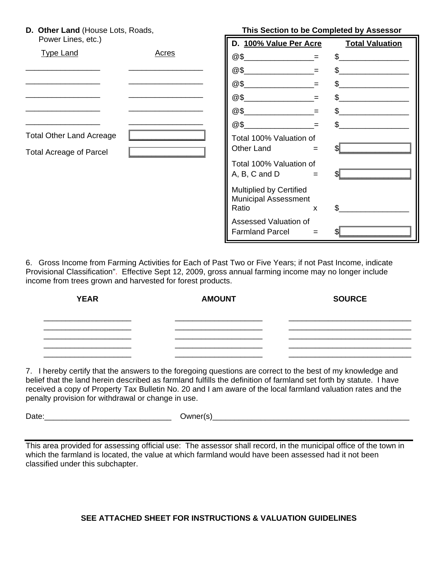**D. Other Land** (House Lots, Roads,

| Power Lines, etc.)                                                |              | D. 100% Value Per Acre                                                 |     | <b>Total Valuation</b> |
|-------------------------------------------------------------------|--------------|------------------------------------------------------------------------|-----|------------------------|
| <b>Type Land</b>                                                  | <b>Acres</b> | @5                                                                     |     | \$.                    |
|                                                                   |              | @\$                                                                    | $=$ | \$                     |
|                                                                   |              | @5                                                                     | $=$ | \$                     |
|                                                                   |              | @\$                                                                    | $=$ | $\mathfrak{L}$         |
|                                                                   |              | @\$                                                                    | $=$ | \$                     |
|                                                                   |              | @\$                                                                    | $=$ | \$.                    |
| <b>Total Other Land Acreage</b><br><b>Total Acreage of Parcel</b> |              | Total 100% Valuation of<br>Other Land                                  | $=$ |                        |
|                                                                   |              | Total 100% Valuation of<br>A, B, C and D                               | $=$ |                        |
|                                                                   |              | <b>Multiplied by Certified</b><br><b>Municipal Assessment</b><br>Ratio | X   | \$.                    |
|                                                                   |              | Assessed Valuation of<br><b>Farmland Parcel</b>                        | $=$ |                        |

**This Section to be Completed by Assessor** 

6. Gross Income from Farming Activities for Each of Past Two or Five Years; if not Past Income, indicate Provisional Classification". Effective Sept 12, 2009, gross annual farming income may no longer include income from trees grown and harvested for forest products.

| <b>YEAR</b> | <b>AMOUNT</b> | <b>SOURCE</b> |
|-------------|---------------|---------------|
|             |               |               |
|             |               |               |
|             |               |               |
|             |               |               |

7. I hereby certify that the answers to the foregoing questions are correct to the best of my knowledge and belief that the land herein described as farmland fulfills the definition of farmland set forth by statute. I have received a copy of Property Tax Bulletin No. 20 and I am aware of the local farmland valuation rates and the penalty provision for withdrawal or change in use.

Date:

| Owner(s) |  |
|----------|--|
|----------|--|

This area provided for assessing official use: The assessor shall record, in the municipal office of the town in which the farmland is located, the value at which farmland would have been assessed had it not been classified under this subchapter.

# **SEE ATTACHED SHEET FOR INSTRUCTIONS & VALUATION GUIDELINES**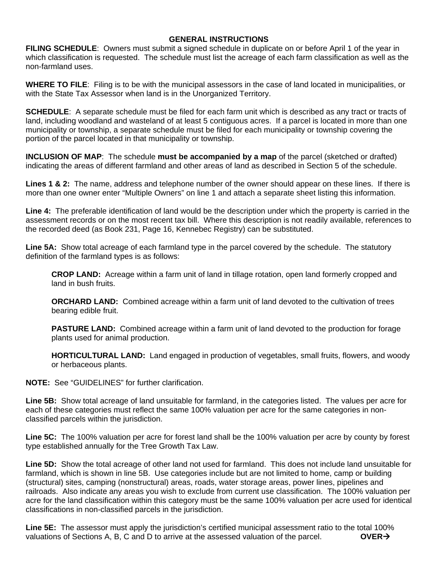## **GENERAL INSTRUCTIONS**

**FILING SCHEDULE**: Owners must submit a signed schedule in duplicate on or before April 1 of the year in which classification is requested. The schedule must list the acreage of each farm classification as well as the non-farmland uses.

**WHERE TO FILE**: Filing is to be with the municipal assessors in the case of land located in municipalities, or with the State Tax Assessor when land is in the Unorganized Territory.

**SCHEDULE**: A separate schedule must be filed for each farm unit which is described as any tract or tracts of land, including woodland and wasteland of at least 5 contiguous acres. If a parcel is located in more than one municipality or township, a separate schedule must be filed for each municipality or township covering the portion of the parcel located in that municipality or township.

**INCLUSION OF MAP**: The schedule **must be accompanied by a map** of the parcel (sketched or drafted) indicating the areas of different farmland and other areas of land as described in Section 5 of the schedule.

**Lines 1 & 2:** The name, address and telephone number of the owner should appear on these lines. If there is more than one owner enter "Multiple Owners" on line 1 and attach a separate sheet listing this information.

**Line 4:** The preferable identification of land would be the description under which the property is carried in the assessment records or on the most recent tax bill. Where this description is not readily available, references to the recorded deed (as Book 231, Page 16, Kennebec Registry) can be substituted.

**Line 5A:** Show total acreage of each farmland type in the parcel covered by the schedule. The statutory definition of the farmland types is as follows:

**CROP LAND:** Acreage within a farm unit of land in tillage rotation, open land formerly cropped and land in bush fruits.

**ORCHARD LAND:** Combined acreage within a farm unit of land devoted to the cultivation of trees bearing edible fruit.

**PASTURE LAND:** Combined acreage within a farm unit of land devoted to the production for forage plants used for animal production.

**HORTICULTURAL LAND:** Land engaged in production of vegetables, small fruits, flowers, and woody or herbaceous plants.

**NOTE:** See "GUIDELINES" for further clarification.

**Line 5B:** Show total acreage of land unsuitable for farmland, in the categories listed. The values per acre for each of these categories must reflect the same 100% valuation per acre for the same categories in nonclassified parcels within the jurisdiction.

**Line 5C:** The 100% valuation per acre for forest land shall be the 100% valuation per acre by county by forest type established annually for the Tree Growth Tax Law.

**Line 5D:** Show the total acreage of other land not used for farmland. This does not include land unsuitable for farmland, which is shown in line 5B. Use categories include but are not limited to home, camp or building (structural) sites, camping (nonstructural) areas, roads, water storage areas, power lines, pipelines and railroads. Also indicate any areas you wish to exclude from current use classification. The 100% valuation per acre for the land classification within this category must be the same 100% valuation per acre used for identical classifications in non-classified parcels in the jurisdiction.

**Line 5E:** The assessor must apply the jurisdiction's certified municipal assessment ratio to the total 100% valuations of Sections A, B, C and D to arrive at the assessed valuation of the parcel.  $\overrightarrow{OVER}$